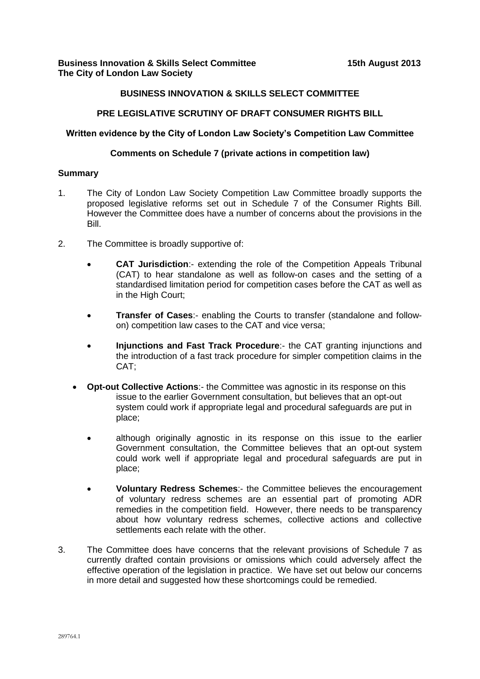## **BUSINESS INNOVATION & SKILLS SELECT COMMITTEE**

### **PRE LEGISLATIVE SCRUTINY OF DRAFT CONSUMER RIGHTS BILL**

#### **Written evidence by the City of London Law Society's Competition Law Committee**

### **Comments on Schedule 7 (private actions in competition law)**

#### **Summary**

- 1. The City of London Law Society Competition Law Committee broadly supports the proposed legislative reforms set out in Schedule 7 of the Consumer Rights Bill. However the Committee does have a number of concerns about the provisions in the Bill.
- 2. The Committee is broadly supportive of:
	- **CAT Jurisdiction**:- extending the role of the Competition Appeals Tribunal (CAT) to hear standalone as well as follow-on cases and the setting of a standardised limitation period for competition cases before the CAT as well as in the High Court;
	- **Transfer of Cases**:- enabling the Courts to transfer (standalone and followon) competition law cases to the CAT and vice versa;
	- **Injunctions and Fast Track Procedure**:- the CAT granting injunctions and the introduction of a fast track procedure for simpler competition claims in the CAT;
	- **Opt-out Collective Actions**:- the Committee was agnostic in its response on this issue to the earlier Government consultation, but believes that an opt-out system could work if appropriate legal and procedural safeguards are put in place;
		- although originally agnostic in its response on this issue to the earlier Government consultation, the Committee believes that an opt-out system could work well if appropriate legal and procedural safeguards are put in place;
		- **Voluntary Redress Schemes**:- the Committee believes the encouragement of voluntary redress schemes are an essential part of promoting ADR remedies in the competition field. However, there needs to be transparency about how voluntary redress schemes, collective actions and collective settlements each relate with the other.
- 3. The Committee does have concerns that the relevant provisions of Schedule 7 as currently drafted contain provisions or omissions which could adversely affect the effective operation of the legislation in practice. We have set out below our concerns in more detail and suggested how these shortcomings could be remedied.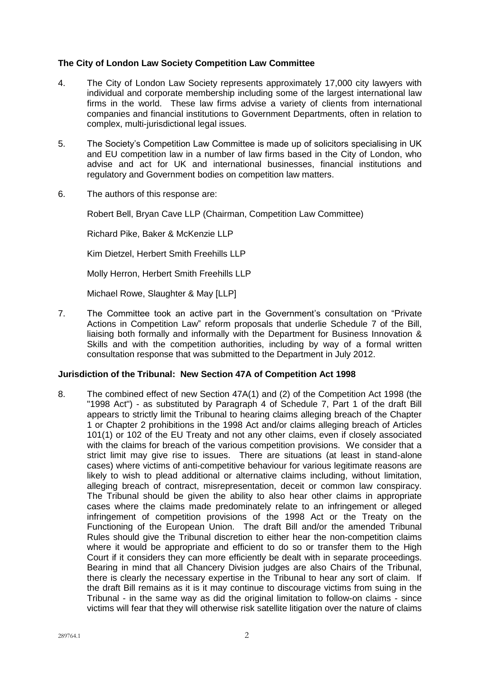## **The City of London Law Society Competition Law Committee**

- 4. The City of London Law Society represents approximately 17,000 city lawyers with individual and corporate membership including some of the largest international law firms in the world. These law firms advise a variety of clients from international companies and financial institutions to Government Departments, often in relation to complex, multi-jurisdictional legal issues.
- 5. The Society's Competition Law Committee is made up of solicitors specialising in UK and EU competition law in a number of law firms based in the City of London, who advise and act for UK and international businesses, financial institutions and regulatory and Government bodies on competition law matters.
- 6. The authors of this response are:

Robert Bell, Bryan Cave LLP (Chairman, Competition Law Committee)

Richard Pike, Baker & McKenzie LLP

Kim Dietzel, Herbert Smith Freehills LLP

Molly Herron, Herbert Smith Freehills LLP

Michael Rowe, Slaughter & May [LLP]

7. The Committee took an active part in the Government's consultation on "Private Actions in Competition Law" reform proposals that underlie Schedule 7 of the Bill, liaising both formally and informally with the Department for Business Innovation & Skills and with the competition authorities, including by way of a formal written consultation response that was submitted to the Department in July 2012.

#### **Jurisdiction of the Tribunal: New Section 47A of Competition Act 1998**

8. The combined effect of new Section 47A(1) and (2) of the Competition Act 1998 (the "1998 Act") - as substituted by Paragraph 4 of Schedule 7, Part 1 of the draft Bill appears to strictly limit the Tribunal to hearing claims alleging breach of the Chapter 1 or Chapter 2 prohibitions in the 1998 Act and/or claims alleging breach of Articles 101(1) or 102 of the EU Treaty and not any other claims, even if closely associated with the claims for breach of the various competition provisions. We consider that a strict limit may give rise to issues. There are situations (at least in stand-alone cases) where victims of anti-competitive behaviour for various legitimate reasons are likely to wish to plead additional or alternative claims including, without limitation, alleging breach of contract, misrepresentation, deceit or common law conspiracy. The Tribunal should be given the ability to also hear other claims in appropriate cases where the claims made predominately relate to an infringement or alleged infringement of competition provisions of the 1998 Act or the Treaty on the Functioning of the European Union. The draft Bill and/or the amended Tribunal Rules should give the Tribunal discretion to either hear the non-competition claims where it would be appropriate and efficient to do so or transfer them to the High Court if it considers they can more efficiently be dealt with in separate proceedings. Bearing in mind that all Chancery Division judges are also Chairs of the Tribunal, there is clearly the necessary expertise in the Tribunal to hear any sort of claim. If the draft Bill remains as it is it may continue to discourage victims from suing in the Tribunal - in the same way as did the original limitation to follow-on claims - since victims will fear that they will otherwise risk satellite litigation over the nature of claims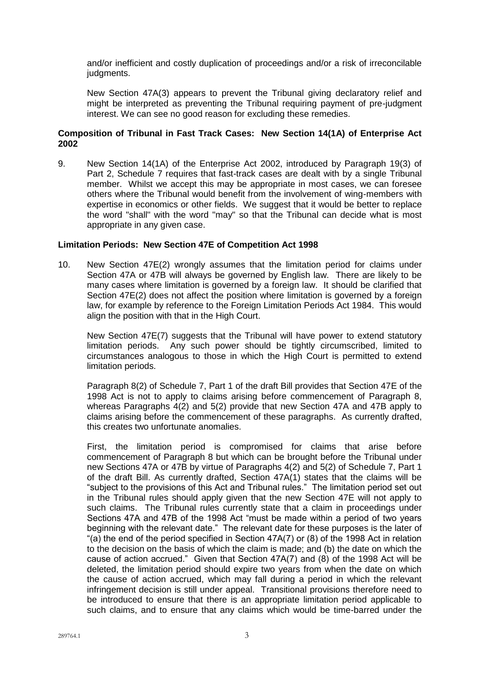and/or inefficient and costly duplication of proceedings and/or a risk of irreconcilable judgments.

New Section 47A(3) appears to prevent the Tribunal giving declaratory relief and might be interpreted as preventing the Tribunal requiring payment of pre-judgment interest. We can see no good reason for excluding these remedies.

### **Composition of Tribunal in Fast Track Cases: New Section 14(1A) of Enterprise Act 2002**

9. New Section 14(1A) of the Enterprise Act 2002, introduced by Paragraph 19(3) of Part 2, Schedule 7 requires that fast-track cases are dealt with by a single Tribunal member. Whilst we accept this may be appropriate in most cases, we can foresee others where the Tribunal would benefit from the involvement of wing-members with expertise in economics or other fields. We suggest that it would be better to replace the word "shall" with the word "may" so that the Tribunal can decide what is most appropriate in any given case.

#### **Limitation Periods: New Section 47E of Competition Act 1998**

10. New Section 47E(2) wrongly assumes that the limitation period for claims under Section 47A or 47B will always be governed by English law. There are likely to be many cases where limitation is governed by a foreign law. It should be clarified that Section 47E(2) does not affect the position where limitation is governed by a foreign law, for example by reference to the Foreign Limitation Periods Act 1984. This would align the position with that in the High Court.

New Section 47E(7) suggests that the Tribunal will have power to extend statutory limitation periods. Any such power should be tightly circumscribed, limited to circumstances analogous to those in which the High Court is permitted to extend limitation periods.

Paragraph 8(2) of Schedule 7, Part 1 of the draft Bill provides that Section 47E of the 1998 Act is not to apply to claims arising before commencement of Paragraph 8, whereas Paragraphs 4(2) and 5(2) provide that new Section 47A and 47B apply to claims arising before the commencement of these paragraphs. As currently drafted, this creates two unfortunate anomalies.

First, the limitation period is compromised for claims that arise before commencement of Paragraph 8 but which can be brought before the Tribunal under new Sections 47A or 47B by virtue of Paragraphs 4(2) and 5(2) of Schedule 7, Part 1 of the draft Bill. As currently drafted, Section 47A(1) states that the claims will be "subject to the provisions of this Act and Tribunal rules." The limitation period set out in the Tribunal rules should apply given that the new Section 47E will not apply to such claims. The Tribunal rules currently state that a claim in proceedings under Sections 47A and 47B of the 1998 Act "must be made within a period of two years beginning with the relevant date." The relevant date for these purposes is the later of "(a) the end of the period specified in Section 47A(7) or (8) of the 1998 Act in relation to the decision on the basis of which the claim is made; and (b) the date on which the cause of action accrued." Given that Section 47A(7) and (8) of the 1998 Act will be deleted, the limitation period should expire two years from when the date on which the cause of action accrued, which may fall during a period in which the relevant infringement decision is still under appeal. Transitional provisions therefore need to be introduced to ensure that there is an appropriate limitation period applicable to such claims, and to ensure that any claims which would be time-barred under the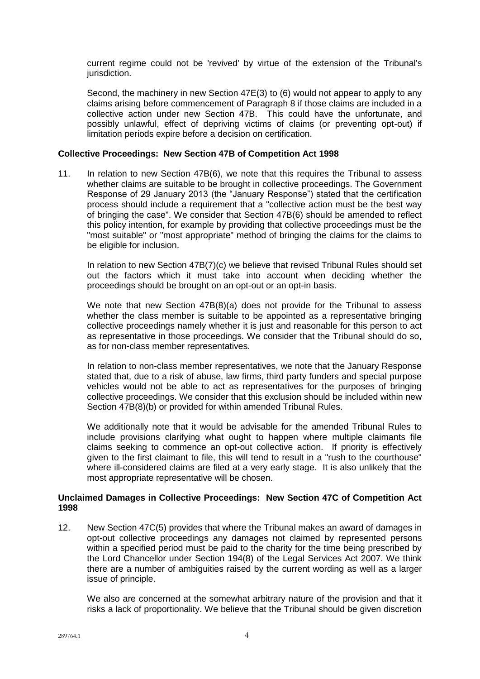current regime could not be 'revived' by virtue of the extension of the Tribunal's jurisdiction.

Second, the machinery in new Section 47E(3) to (6) would not appear to apply to any claims arising before commencement of Paragraph 8 if those claims are included in a collective action under new Section 47B. This could have the unfortunate, and possibly unlawful, effect of depriving victims of claims (or preventing opt-out) if limitation periods expire before a decision on certification.

### **Collective Proceedings: New Section 47B of Competition Act 1998**

11. In relation to new Section 47B(6), we note that this requires the Tribunal to assess whether claims are suitable to be brought in collective proceedings. The Government Response of 29 January 2013 (the "January Response") stated that the certification process should include a requirement that a "collective action must be the best way of bringing the case". We consider that Section 47B(6) should be amended to reflect this policy intention, for example by providing that collective proceedings must be the "most suitable" or "most appropriate" method of bringing the claims for the claims to be eligible for inclusion.

In relation to new Section 47B(7)(c) we believe that revised Tribunal Rules should set out the factors which it must take into account when deciding whether the proceedings should be brought on an opt-out or an opt-in basis.

We note that new Section 47B(8)(a) does not provide for the Tribunal to assess whether the class member is suitable to be appointed as a representative bringing collective proceedings namely whether it is just and reasonable for this person to act as representative in those proceedings. We consider that the Tribunal should do so, as for non-class member representatives.

In relation to non-class member representatives, we note that the January Response stated that, due to a risk of abuse, law firms, third party funders and special purpose vehicles would not be able to act as representatives for the purposes of bringing collective proceedings. We consider that this exclusion should be included within new Section 47B(8)(b) or provided for within amended Tribunal Rules.

We additionally note that it would be advisable for the amended Tribunal Rules to include provisions clarifying what ought to happen where multiple claimants file claims seeking to commence an opt-out collective action. If priority is effectively given to the first claimant to file, this will tend to result in a "rush to the courthouse" where ill-considered claims are filed at a very early stage. It is also unlikely that the most appropriate representative will be chosen.

## **Unclaimed Damages in Collective Proceedings: New Section 47C of Competition Act 1998**

12. New Section 47C(5) provides that where the Tribunal makes an award of damages in opt-out collective proceedings any damages not claimed by represented persons within a specified period must be paid to the charity for the time being prescribed by the Lord Chancellor under Section 194(8) of the Legal Services Act 2007. We think there are a number of ambiguities raised by the current wording as well as a larger issue of principle.

We also are concerned at the somewhat arbitrary nature of the provision and that it risks a lack of proportionality. We believe that the Tribunal should be given discretion